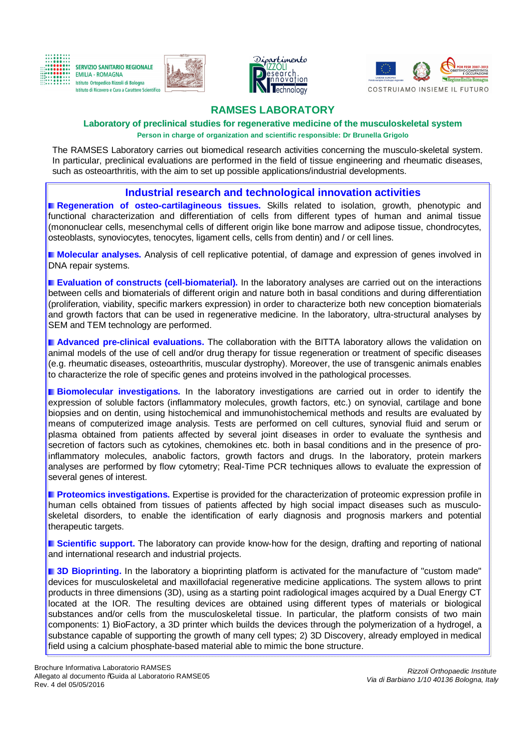









# **RAMSES LABORATORY**

**Laboratory of preclinical studies for regenerative medicine of the musculoskeletal system Person in charge of organization and scientific responsible: Dr Brunella Grigolo**

The RAMSES Laboratory carries out biomedical research activities concerning the musculo-skeletal system. In particular, preclinical evaluations are performed in the field of tissue engineering and rheumatic diseases, such as osteoarthritis, with the aim to set up possible applications/industrial developments.

# **Industrial research and technological innovation activities**

**Regeneration of osteo-cartilagineous tissues.** Skills related to isolation, growth, phenotypic and functional characterization and differentiation of cells from different types of human and animal tissue (mononuclear cells, mesenchymal cells of different origin like bone marrow and adipose tissue, chondrocytes, osteoblasts, synoviocytes, tenocytes, ligament cells, cells from dentin) and / or cell lines.

**Molecular analyses.** Analysis of cell replicative potential, of damage and expression of genes involved in DNA repair systems.

**Evaluation of constructs (cell-biomaterial).** In the laboratory analyses are carried out on the interactions between cells and biomaterials of different origin and nature both in basal conditions and during differentiation (proliferation, viability, specific markers expression) in order to characterize both new conception biomaterials and growth factors that can be used in regenerative medicine. In the laboratory, ultra-structural analyses by SEM and TEM technology are performed.

**Advanced pre-clinical evaluations.** The collaboration with the BITTA laboratory allows the validation on animal models of the use of cell and/or drug therapy for tissue regeneration or treatment of specific diseases (e.g. rheumatic diseases, osteoarthritis, muscular dystrophy). Moreover, the use of transgenic animals enables to characterize the role of specific genes and proteins involved in the pathological processes.

**Biomolecular investigations.** In the laboratory investigations are carried out in order to identify the expression of soluble factors (inflammatory molecules, growth factors, etc.) on synovial, cartilage and bone biopsies and on dentin, using histochemical and immunohistochemical methods and results are evaluated by means of computerized image analysis. Tests are performed on cell cultures, synovial fluid and serum or plasma obtained from patients affected by several joint diseases in order to evaluate the synthesis and secretion of factors such as cytokines, chemokines etc. both in basal conditions and in the presence of proinflammatory molecules, anabolic factors, growth factors and drugs. In the laboratory, protein markers analyses are performed by flow cytometry; Real-Time PCR techniques allows to evaluate the expression of several genes of interest.

**Proteomics investigations.** Expertise is provided for the characterization of proteomic expression profile in human cells obtained from tissues of patients affected by high social impact diseases such as musculoskeletal disorders, to enable the identification of early diagnosis and prognosis markers and potential therapeutic targets.

**I** Scientific support. The laboratory can provide know-how for the design, drafting and reporting of national and international research and industrial projects.

**3D Bioprinting.** In the laboratory a bioprinting platform is activated for the manufacture of "custom made" devices for musculoskeletal and maxillofacial regenerative medicine applications. The system allows to print products in three dimensions (3D), using as a starting point radiological images acquired by a Dual Energy CT located at the IOR. The resulting devices are obtained using different types of materials or biological substances and/or cells from the musculoskeletal tissue. In particular, the platform consists of two main components: 1) BioFactory, a 3D printer which builds the devices through the polymerization of a hydrogel, a substance capable of supporting the growth of many cell types; 2) 3D Discovery, already employed in medical field using a calcium phosphate-based material able to mimic the bone structure.